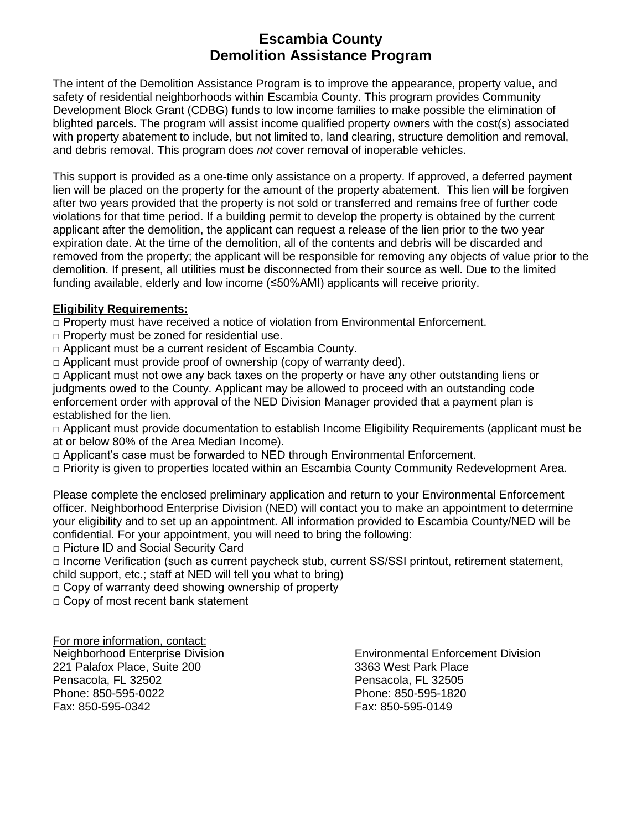## **Escambia County Demolition Assistance Program**

The intent of the Demolition Assistance Program is to improve the appearance, property value, and safety of residential neighborhoods within Escambia County. This program provides Community Development Block Grant (CDBG) funds to low income families to make possible the elimination of blighted parcels. The program will assist income qualified property owners with the cost(s) associated with property abatement to include, but not limited to, land clearing, structure demolition and removal, and debris removal. This program does *not* cover removal of inoperable vehicles.

This support is provided as a one-time only assistance on a property. If approved, a deferred payment lien will be placed on the property for the amount of the property abatement. This lien will be forgiven after two years provided that the property is not sold or transferred and remains free of further code violations for that time period. If a building permit to develop the property is obtained by the current applicant after the demolition, the applicant can request a release of the lien prior to the two year expiration date. At the time of the demolition, all of the contents and debris will be discarded and removed from the property; the applicant will be responsible for removing any objects of value prior to the demolition. If present, all utilities must be disconnected from their source as well. Due to the limited funding available, elderly and low income (≤50%AMI) applicants will receive priority.

## **Eligibility Requirements:**

- $\Box$  Property must have received a notice of violation from Environmental Enforcement.
- $\Box$  Property must be zoned for residential use.
- □ Applicant must be a current resident of Escambia County.
- $\Box$  Applicant must provide proof of ownership (copy of warranty deed).

 $\Box$  Applicant must not owe any back taxes on the property or have any other outstanding liens or judgments owed to the County. Applicant may be allowed to proceed with an outstanding code enforcement order with approval of the NED Division Manager provided that a payment plan is established for the lien.

□ Applicant must provide documentation to establish Income Eligibility Requirements (applicant must be at or below 80% of the Area Median Income).

- $\Box$  Applicant's case must be forwarded to NED through Environmental Enforcement.
- □ Priority is given to properties located within an Escambia County Community Redevelopment Area.

Please complete the enclosed preliminary application and return to your Environmental Enforcement officer. Neighborhood Enterprise Division (NED) will contact you to make an appointment to determine your eligibility and to set up an appointment. All information provided to Escambia County/NED will be confidential. For your appointment, you will need to bring the following:

□ Picture ID and Social Security Card

 $\Box$  Income Verification (such as current paycheck stub, current SS/SSI printout, retirement statement, child support, etc.; staff at NED will tell you what to bring)

 $\Box$  Copy of warranty deed showing ownership of property

 $\Box$  Copy of most recent bank statement

For more information, contact:

221 Palafox Place, Suite 200 3363 West Park Place<br>
Pensacola, FL 32502 32505 Pensacola, FL 32502 Phone: 850-595-0022 Phone: 850-595-1820<br>
Fax: 850-595-0342 Fax: 850-595-0149 Fax: 850-595-0342

Neighborhood Enterprise Division Environmental Enforcement Division